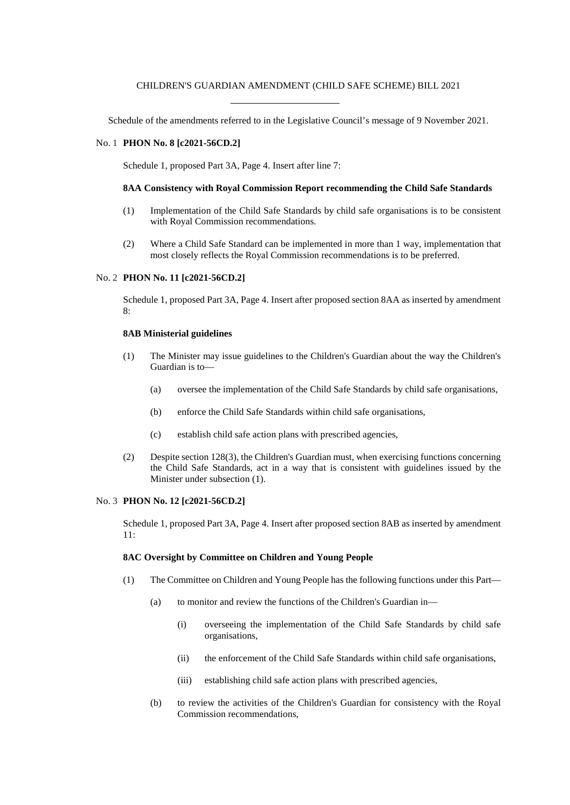## CHILDREN'S GUARDIAN AMENDMENT (CHILD SAFE SCHEME) BILL 2021

Schedule of the amendments referred to in the Legislative Council's message of 9 November 2021.

## No. 1 **PHON No. 8 [c2021-56CD.2]**

Schedule 1, proposed Part 3A, Page 4. Insert after line 7:

## **8AA Consistency with Royal Commission Report recommending the Child Safe Standards**

- (1) Implementation of the Child Safe Standards by child safe organisations is to be consistent with Royal Commission recommendations.
- (2) Where a Child Safe Standard can be implemented in more than 1 way, implementation that most closely reflects the Royal Commission recommendations is to be preferred.

### No. 2 **PHON No. 11 [c2021-56CD.2]**

Schedule 1, proposed Part 3A, Page 4. Insert after proposed section 8AA as inserted by amendment  $\mathsf{R}$ 

# **8AB Ministerial guidelines**

- (1) The Minister may issue guidelines to the Children's Guardian about the way the Children's Guardian is to—
	- (a) oversee the implementation of the Child Safe Standards by child safe organisations,
	- (b) enforce the Child Safe Standards within child safe organisations,
	- (c) establish child safe action plans with prescribed agencies,
- (2) Despite section 128(3), the Children's Guardian must, when exercising functions concerning the Child Safe Standards, act in a way that is consistent with guidelines issued by the Minister under subsection (1).

## No. 3 **PHON No. 12 [c2021-56CD.2]**

Schedule 1, proposed Part 3A, Page 4. Insert after proposed section 8AB as inserted by amendment 11:

#### **8AC Oversight by Committee on Children and Young People**

- (1) The Committee on Children and Young People has the following functions under this Part—
	- (a) to monitor and review the functions of the Children's Guardian in—
		- (i) overseeing the implementation of the Child Safe Standards by child safe organisations,
		- (ii) the enforcement of the Child Safe Standards within child safe organisations,
		- (iii) establishing child safe action plans with prescribed agencies,
	- (b) to review the activities of the Children's Guardian for consistency with the Royal Commission recommendations,